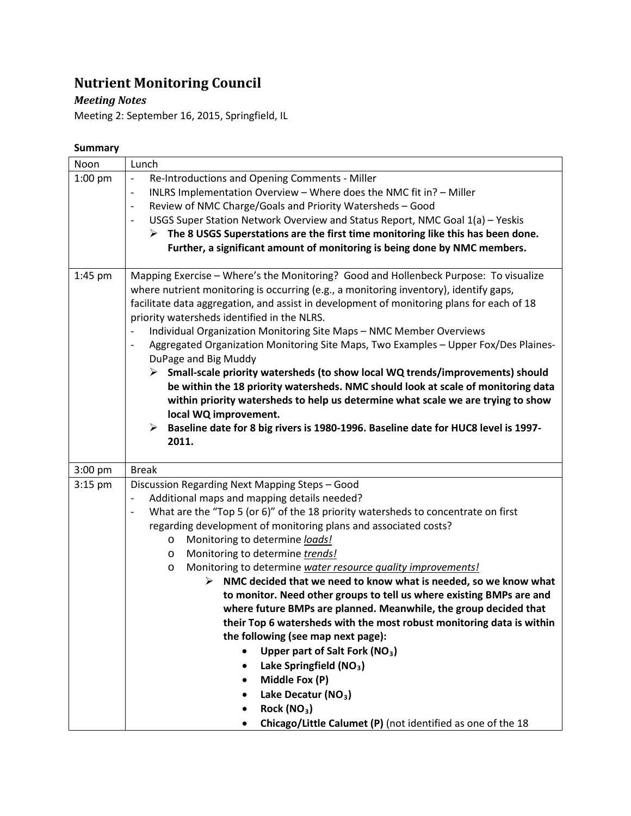# **Nutrient Monitoring Council**

## *Meeting Notes*

Meeting 2: September 16, 2015, Springfield, IL

### **Summary**

| Noon      | Lunch                                                                                                                                   |
|-----------|-----------------------------------------------------------------------------------------------------------------------------------------|
| $1:00$ pm | Re-Introductions and Opening Comments - Miller<br>$\overline{\phantom{a}}$                                                              |
|           | INLRS Implementation Overview - Where does the NMC fit in? - Miller<br>$\overline{\phantom{a}}$                                         |
|           | Review of NMC Charge/Goals and Priority Watersheds - Good<br>$\overline{\phantom{a}}$                                                   |
|           | USGS Super Station Network Overview and Status Report, NMC Goal 1(a) - Yeskis<br>$\overline{\phantom{a}}$                               |
|           | $\triangleright$ The 8 USGS Superstations are the first time monitoring like this has been done.                                        |
|           | Further, a significant amount of monitoring is being done by NMC members.                                                               |
|           |                                                                                                                                         |
| 1:45 pm   | Mapping Exercise - Where's the Monitoring? Good and Hollenbeck Purpose: To visualize                                                    |
|           | where nutrient monitoring is occurring (e.g., a monitoring inventory), identify gaps,                                                   |
|           | facilitate data aggregation, and assist in development of monitoring plans for each of 18                                               |
|           | priority watersheds identified in the NLRS.                                                                                             |
|           | Individual Organization Monitoring Site Maps - NMC Member Overviews<br>$\overline{\phantom{a}}$                                         |
|           | Aggregated Organization Monitoring Site Maps, Two Examples - Upper Fox/Des Plaines-<br>$\overline{\phantom{a}}$<br>DuPage and Big Muddy |
|           | $\triangleright$ Small-scale priority watersheds (to show local WQ trends/improvements) should                                          |
|           | be within the 18 priority watersheds. NMC should look at scale of monitoring data                                                       |
|           | within priority watersheds to help us determine what scale we are trying to show                                                        |
|           | local WQ improvement.                                                                                                                   |
|           | Baseline date for 8 big rivers is 1980-1996. Baseline date for HUC8 level is 1997-<br>$\blacktriangleright$                             |
|           | 2011.                                                                                                                                   |
|           |                                                                                                                                         |
| 3:00 pm   | <b>Break</b>                                                                                                                            |
| $3:15$ pm | Discussion Regarding Next Mapping Steps - Good                                                                                          |
|           | Additional maps and mapping details needed?<br>$\overline{\phantom{a}}$                                                                 |
|           | What are the "Top 5 (or 6)" of the 18 priority watersheds to concentrate on first<br>$\overline{\phantom{a}}$                           |
|           | regarding development of monitoring plans and associated costs?                                                                         |
|           | Monitoring to determine loads!<br>O                                                                                                     |
|           | Monitoring to determine trends!<br>$\circ$                                                                                              |
|           | Monitoring to determine water resource quality improvements!<br>O                                                                       |
|           | NMC decided that we need to know what is needed, so we know what<br>➤                                                                   |
|           | to monitor. Need other groups to tell us where existing BMPs are and                                                                    |
|           | where future BMPs are planned. Meanwhile, the group decided that                                                                        |
|           | their Top 6 watersheds with the most robust monitoring data is within<br>the following (see map next page):                             |
|           | Upper part of Salt Fork (NO <sub>3</sub> )                                                                                              |
|           | Lake Springfield (NO <sub>3</sub> )<br>$\bullet$                                                                                        |
|           | Middle Fox (P)                                                                                                                          |
|           | $\bullet$<br>Lake Decatur (NO <sub>3</sub> )                                                                                            |
|           | Rock $(NO3)$                                                                                                                            |
|           |                                                                                                                                         |
|           | Chicago/Little Calumet (P) (not identified as one of the 18<br>$\bullet$                                                                |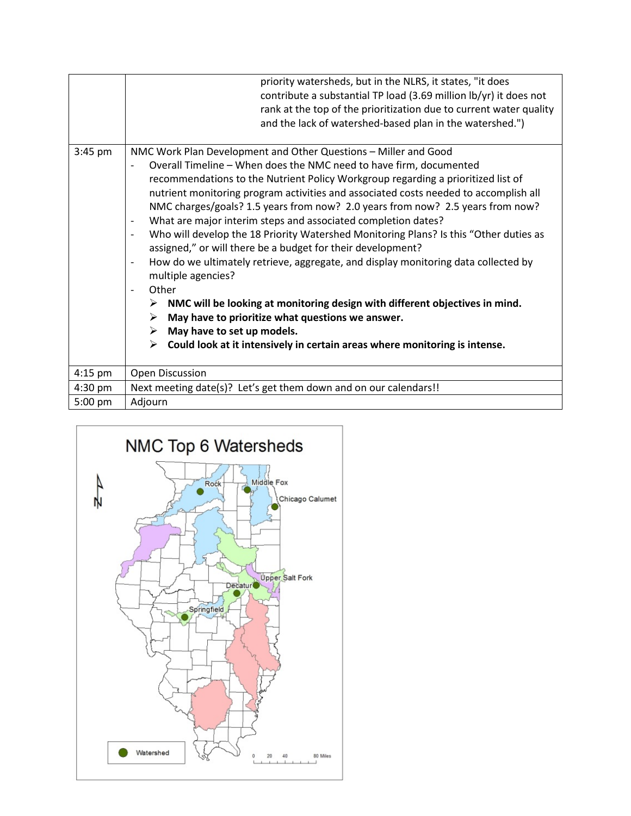|           | priority watersheds, but in the NLRS, it states, "it does<br>contribute a substantial TP load (3.69 million lb/yr) it does not<br>rank at the top of the prioritization due to current water quality<br>and the lack of watershed-based plan in the watershed.")                                                                                                                                                                                                                                                                                                                                                                                                                                                                                                                                                                                                                                                                                                                                                                                                                                                                                                 |
|-----------|------------------------------------------------------------------------------------------------------------------------------------------------------------------------------------------------------------------------------------------------------------------------------------------------------------------------------------------------------------------------------------------------------------------------------------------------------------------------------------------------------------------------------------------------------------------------------------------------------------------------------------------------------------------------------------------------------------------------------------------------------------------------------------------------------------------------------------------------------------------------------------------------------------------------------------------------------------------------------------------------------------------------------------------------------------------------------------------------------------------------------------------------------------------|
| $3:45$ pm | NMC Work Plan Development and Other Questions - Miller and Good<br>Overall Timeline - When does the NMC need to have firm, documented<br>$\overline{\phantom{a}}$<br>recommendations to the Nutrient Policy Workgroup regarding a prioritized list of<br>nutrient monitoring program activities and associated costs needed to accomplish all<br>NMC charges/goals? 1.5 years from now? 2.0 years from now? 2.5 years from now?<br>What are major interim steps and associated completion dates?<br>$\overline{\phantom{a}}$<br>Who will develop the 18 Priority Watershed Monitoring Plans? Is this "Other duties as<br>$\overline{\phantom{a}}$<br>assigned," or will there be a budget for their development?<br>How do we ultimately retrieve, aggregate, and display monitoring data collected by<br>$\overline{\phantom{a}}$<br>multiple agencies?<br>Other<br>$\overline{\phantom{a}}$<br>NMC will be looking at monitoring design with different objectives in mind.<br>➤<br>May have to prioritize what questions we answer.<br>➤<br>May have to set up models.<br>➤<br>Could look at it intensively in certain areas where monitoring is intense.<br>➤ |
| $4:15$ pm | Open Discussion                                                                                                                                                                                                                                                                                                                                                                                                                                                                                                                                                                                                                                                                                                                                                                                                                                                                                                                                                                                                                                                                                                                                                  |
| 4:30 pm   | Next meeting date(s)? Let's get them down and on our calendars!!                                                                                                                                                                                                                                                                                                                                                                                                                                                                                                                                                                                                                                                                                                                                                                                                                                                                                                                                                                                                                                                                                                 |
| 5:00 pm   | Adjourn                                                                                                                                                                                                                                                                                                                                                                                                                                                                                                                                                                                                                                                                                                                                                                                                                                                                                                                                                                                                                                                                                                                                                          |

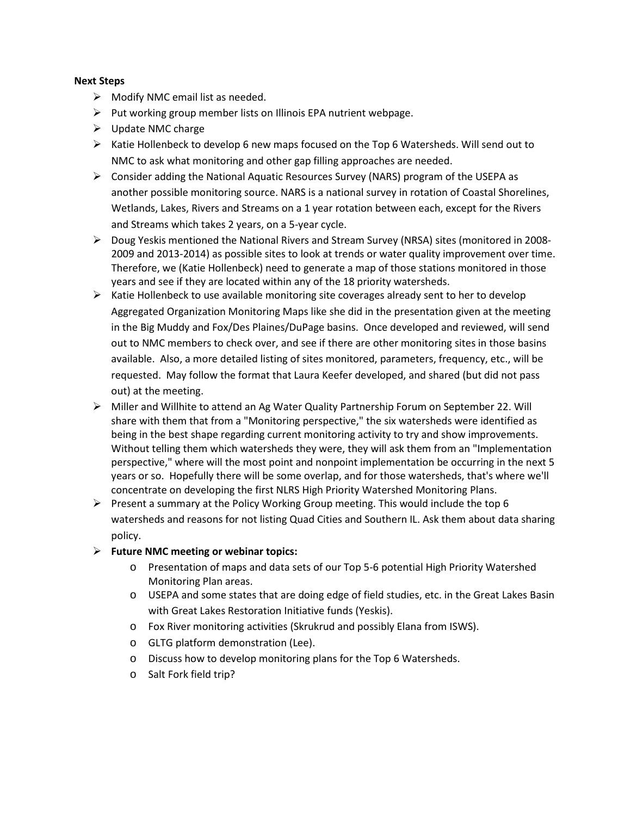#### **Next Steps**

- $\triangleright$  Modify NMC email list as needed.
- $\triangleright$  Put working group member lists on Illinois EPA nutrient webpage.
- $\triangleright$  Update NMC charge
- $\triangleright$  Katie Hollenbeck to develop 6 new maps focused on the Top 6 Watersheds. Will send out to NMC to ask what monitoring and other gap filling approaches are needed.
- $\triangleright$  Consider adding the National Aquatic Resources Survey (NARS) program of the USEPA as another possible monitoring source. NARS is a national survey in rotation of Coastal Shorelines, Wetlands, Lakes, Rivers and Streams on a 1 year rotation between each, except for the Rivers and Streams which takes 2 years, on a 5-year cycle.
- $\triangleright$  Doug Yeskis mentioned the National Rivers and Stream Survey (NRSA) sites (monitored in 2008-2009 and 2013-2014) as possible sites to look at trends or water quality improvement over time. Therefore, we (Katie Hollenbeck) need to generate a map of those stations monitored in those years and see if they are located within any of the 18 priority watersheds.
- $\triangleright$  Katie Hollenbeck to use available monitoring site coverages already sent to her to develop Aggregated Organization Monitoring Maps like she did in the presentation given at the meeting in the Big Muddy and Fox/Des Plaines/DuPage basins. Once developed and reviewed, will send out to NMC members to check over, and see if there are other monitoring sites in those basins available. Also, a more detailed listing of sites monitored, parameters, frequency, etc., will be requested. May follow the format that Laura Keefer developed, and shared (but did not pass out) at the meeting.
- Miller and Willhite to attend an Ag Water Quality Partnership Forum on September 22. Will share with them that from a "Monitoring perspective," the six watersheds were identified as being in the best shape regarding current monitoring activity to try and show improvements. Without telling them which watersheds they were, they will ask them from an "Implementation perspective," where will the most point and nonpoint implementation be occurring in the next 5 years or so. Hopefully there will be some overlap, and for those watersheds, that's where we'll concentrate on developing the first NLRS High Priority Watershed Monitoring Plans.
- Present a summary at the Policy Working Group meeting. This would include the top 6 watersheds and reasons for not listing Quad Cities and Southern IL. Ask them about data sharing policy.
- **Future NMC meeting or webinar topics:** 
	- o Presentation of maps and data sets of our Top 5-6 potential High Priority Watershed Monitoring Plan areas.
	- o USEPA and some states that are doing edge of field studies, etc. in the Great Lakes Basin with Great Lakes Restoration Initiative funds (Yeskis).
	- o Fox River monitoring activities (Skrukrud and possibly Elana from ISWS).
	- o GLTG platform demonstration (Lee).
	- o Discuss how to develop monitoring plans for the Top 6 Watersheds.
	- o Salt Fork field trip?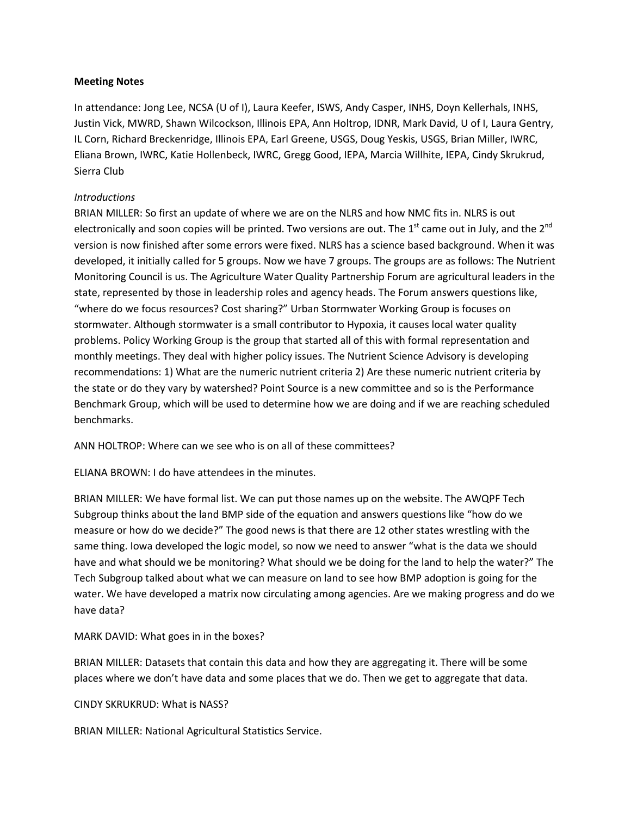#### **Meeting Notes**

In attendance: Jong Lee, NCSA (U of I), Laura Keefer, ISWS, Andy Casper, INHS, Doyn Kellerhals, INHS, Justin Vick, MWRD, Shawn Wilcockson, Illinois EPA, Ann Holtrop, IDNR, Mark David, U of I, Laura Gentry, IL Corn, Richard Breckenridge, Illinois EPA, Earl Greene, USGS, Doug Yeskis, USGS, Brian Miller, IWRC, Eliana Brown, IWRC, Katie Hollenbeck, IWRC, Gregg Good, IEPA, Marcia Willhite, IEPA, Cindy Skrukrud, Sierra Club

#### *Introductions*

BRIAN MILLER: So first an update of where we are on the NLRS and how NMC fits in. NLRS is out electronically and soon copies will be printed. Two versions are out. The 1<sup>st</sup> came out in July, and the 2<sup>nd</sup> version is now finished after some errors were fixed. NLRS has a science based background. When it was developed, it initially called for 5 groups. Now we have 7 groups. The groups are as follows: The Nutrient Monitoring Council is us. The Agriculture Water Quality Partnership Forum are agricultural leaders in the state, represented by those in leadership roles and agency heads. The Forum answers questions like, "where do we focus resources? Cost sharing?" Urban Stormwater Working Group is focuses on stormwater. Although stormwater is a small contributor to Hypoxia, it causes local water quality problems. Policy Working Group is the group that started all of this with formal representation and monthly meetings. They deal with higher policy issues. The Nutrient Science Advisory is developing recommendations: 1) What are the numeric nutrient criteria 2) Are these numeric nutrient criteria by the state or do they vary by watershed? Point Source is a new committee and so is the Performance Benchmark Group, which will be used to determine how we are doing and if we are reaching scheduled benchmarks.

ANN HOLTROP: Where can we see who is on all of these committees?

ELIANA BROWN: I do have attendees in the minutes.

BRIAN MILLER: We have formal list. We can put those names up on the website. The AWQPF Tech Subgroup thinks about the land BMP side of the equation and answers questions like "how do we measure or how do we decide?" The good news is that there are 12 other states wrestling with the same thing. Iowa developed the logic model, so now we need to answer "what is the data we should have and what should we be monitoring? What should we be doing for the land to help the water?" The Tech Subgroup talked about what we can measure on land to see how BMP adoption is going for the water. We have developed a matrix now circulating among agencies. Are we making progress and do we have data?

MARK DAVID: What goes in in the boxes?

BRIAN MILLER: Datasets that contain this data and how they are aggregating it. There will be some places where we don't have data and some places that we do. Then we get to aggregate that data.

#### CINDY SKRUKRUD: What is NASS?

BRIAN MILLER: National Agricultural Statistics Service.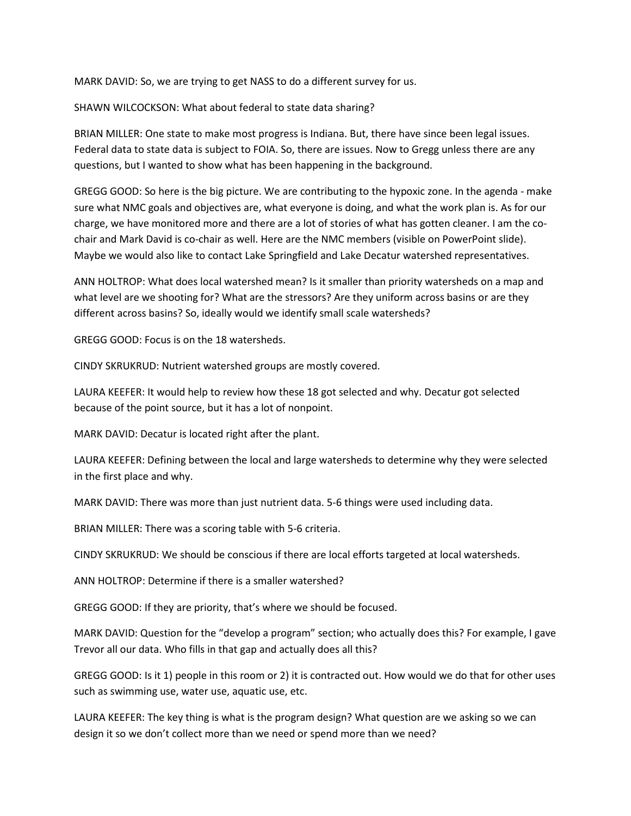MARK DAVID: So, we are trying to get NASS to do a different survey for us.

SHAWN WILCOCKSON: What about federal to state data sharing?

BRIAN MILLER: One state to make most progress is Indiana. But, there have since been legal issues. Federal data to state data is subject to FOIA. So, there are issues. Now to Gregg unless there are any questions, but I wanted to show what has been happening in the background.

GREGG GOOD: So here is the big picture. We are contributing to the hypoxic zone. In the agenda - make sure what NMC goals and objectives are, what everyone is doing, and what the work plan is. As for our charge, we have monitored more and there are a lot of stories of what has gotten cleaner. I am the cochair and Mark David is co-chair as well. Here are the NMC members (visible on PowerPoint slide). Maybe we would also like to contact Lake Springfield and Lake Decatur watershed representatives.

ANN HOLTROP: What does local watershed mean? Is it smaller than priority watersheds on a map and what level are we shooting for? What are the stressors? Are they uniform across basins or are they different across basins? So, ideally would we identify small scale watersheds?

GREGG GOOD: Focus is on the 18 watersheds.

CINDY SKRUKRUD: Nutrient watershed groups are mostly covered.

LAURA KEEFER: It would help to review how these 18 got selected and why. Decatur got selected because of the point source, but it has a lot of nonpoint.

MARK DAVID: Decatur is located right after the plant.

LAURA KEEFER: Defining between the local and large watersheds to determine why they were selected in the first place and why.

MARK DAVID: There was more than just nutrient data. 5-6 things were used including data.

BRIAN MILLER: There was a scoring table with 5-6 criteria.

CINDY SKRUKRUD: We should be conscious if there are local efforts targeted at local watersheds.

ANN HOLTROP: Determine if there is a smaller watershed?

GREGG GOOD: If they are priority, that's where we should be focused.

MARK DAVID: Question for the "develop a program" section; who actually does this? For example, I gave Trevor all our data. Who fills in that gap and actually does all this?

GREGG GOOD: Is it 1) people in this room or 2) it is contracted out. How would we do that for other uses such as swimming use, water use, aquatic use, etc.

LAURA KEEFER: The key thing is what is the program design? What question are we asking so we can design it so we don't collect more than we need or spend more than we need?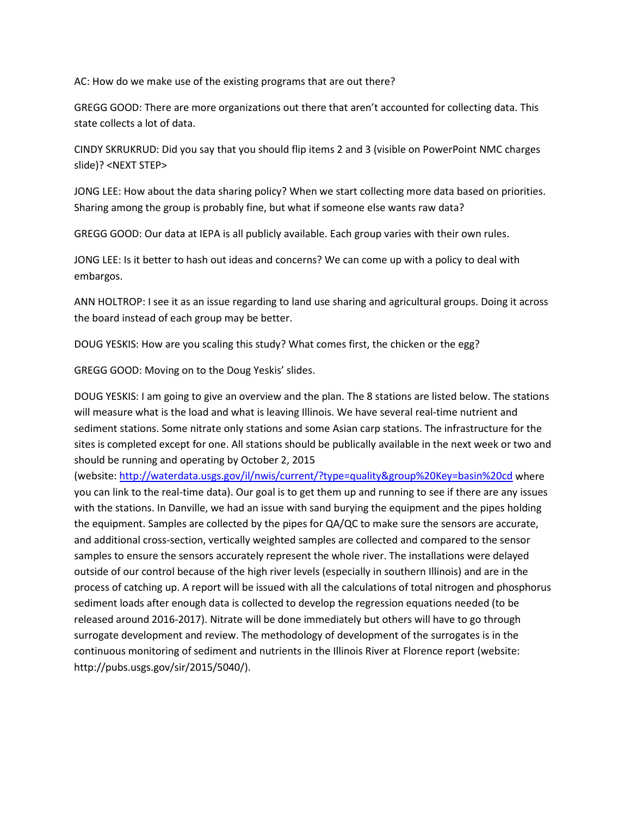AC: How do we make use of the existing programs that are out there?

GREGG GOOD: There are more organizations out there that aren't accounted for collecting data. This state collects a lot of data.

CINDY SKRUKRUD: Did you say that you should flip items 2 and 3 (visible on PowerPoint NMC charges slide)? <NEXT STEP>

JONG LEE: How about the data sharing policy? When we start collecting more data based on priorities. Sharing among the group is probably fine, but what if someone else wants raw data?

GREGG GOOD: Our data at IEPA is all publicly available. Each group varies with their own rules.

JONG LEE: Is it better to hash out ideas and concerns? We can come up with a policy to deal with embargos.

ANN HOLTROP: I see it as an issue regarding to land use sharing and agricultural groups. Doing it across the board instead of each group may be better.

DOUG YESKIS: How are you scaling this study? What comes first, the chicken or the egg?

GREGG GOOD: Moving on to the Doug Yeskis' slides.

DOUG YESKIS: I am going to give an overview and the plan. The 8 stations are listed below. The stations will measure what is the load and what is leaving Illinois. We have several real-time nutrient and sediment stations. Some nitrate only stations and some Asian carp stations. The infrastructure for the sites is completed except for one. All stations should be publically available in the next week or two and should be running and operating by October 2, 2015

(website:<http://waterdata.usgs.gov/il/nwis/current/?type=quality&group%20Key=basin%20cd> where you can link to the real-time data). Our goal is to get them up and running to see if there are any issues with the stations. In Danville, we had an issue with sand burying the equipment and the pipes holding the equipment. Samples are collected by the pipes for QA/QC to make sure the sensors are accurate, and additional cross-section, vertically weighted samples are collected and compared to the sensor samples to ensure the sensors accurately represent the whole river. The installations were delayed outside of our control because of the high river levels (especially in southern Illinois) and are in the process of catching up. A report will be issued with all the calculations of total nitrogen and phosphorus sediment loads after enough data is collected to develop the regression equations needed (to be released around 2016-2017). Nitrate will be done immediately but others will have to go through surrogate development and review. The methodology of development of the surrogates is in the continuous monitoring of sediment and nutrients in the Illinois River at Florence report (website: http://pubs.usgs.gov/sir/2015/5040/).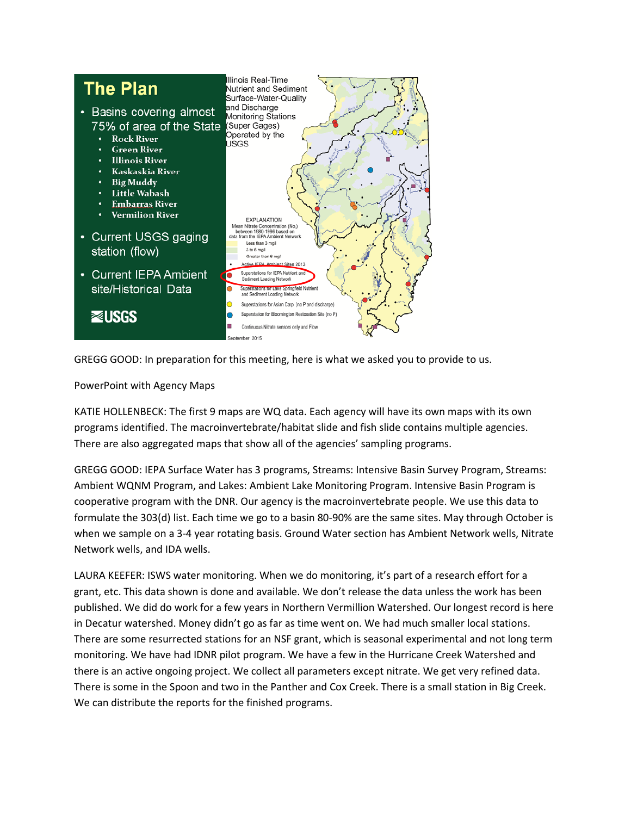

GREGG GOOD: In preparation for this meeting, here is what we asked you to provide to us.

PowerPoint with Agency Maps

KATIE HOLLENBECK: The first 9 maps are WQ data. Each agency will have its own maps with its own programs identified. The macroinvertebrate/habitat slide and fish slide contains multiple agencies. There are also aggregated maps that show all of the agencies' sampling programs.

GREGG GOOD: IEPA Surface Water has 3 programs, Streams: Intensive Basin Survey Program, Streams: Ambient WQNM Program, and Lakes: Ambient Lake Monitoring Program. Intensive Basin Program is cooperative program with the DNR. Our agency is the macroinvertebrate people. We use this data to formulate the 303(d) list. Each time we go to a basin 80-90% are the same sites. May through October is when we sample on a 3-4 year rotating basis. Ground Water section has Ambient Network wells, Nitrate Network wells, and IDA wells.

LAURA KEEFER: ISWS water monitoring. When we do monitoring, it's part of a research effort for a grant, etc. This data shown is done and available. We don't release the data unless the work has been published. We did do work for a few years in Northern Vermillion Watershed. Our longest record is here in Decatur watershed. Money didn't go as far as time went on. We had much smaller local stations. There are some resurrected stations for an NSF grant, which is seasonal experimental and not long term monitoring. We have had IDNR pilot program. We have a few in the Hurricane Creek Watershed and there is an active ongoing project. We collect all parameters except nitrate. We get very refined data. There is some in the Spoon and two in the Panther and Cox Creek. There is a small station in Big Creek. We can distribute the reports for the finished programs.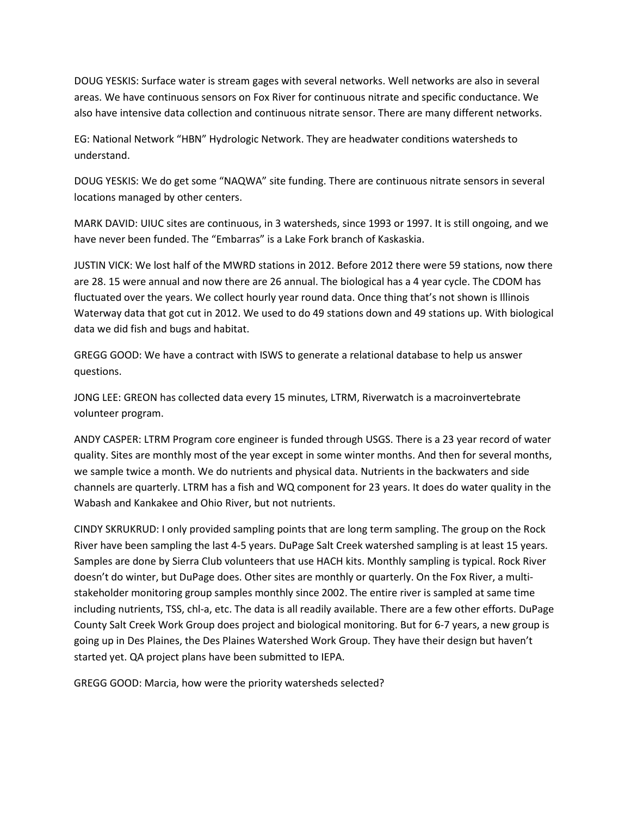DOUG YESKIS: Surface water is stream gages with several networks. Well networks are also in several areas. We have continuous sensors on Fox River for continuous nitrate and specific conductance. We also have intensive data collection and continuous nitrate sensor. There are many different networks.

EG: National Network "HBN" Hydrologic Network. They are headwater conditions watersheds to understand.

DOUG YESKIS: We do get some "NAQWA" site funding. There are continuous nitrate sensors in several locations managed by other centers.

MARK DAVID: UIUC sites are continuous, in 3 watersheds, since 1993 or 1997. It is still ongoing, and we have never been funded. The "Embarras" is a Lake Fork branch of Kaskaskia.

JUSTIN VICK: We lost half of the MWRD stations in 2012. Before 2012 there were 59 stations, now there are 28. 15 were annual and now there are 26 annual. The biological has a 4 year cycle. The CDOM has fluctuated over the years. We collect hourly year round data. Once thing that's not shown is Illinois Waterway data that got cut in 2012. We used to do 49 stations down and 49 stations up. With biological data we did fish and bugs and habitat.

GREGG GOOD: We have a contract with ISWS to generate a relational database to help us answer questions.

JONG LEE: GREON has collected data every 15 minutes, LTRM, Riverwatch is a macroinvertebrate volunteer program.

ANDY CASPER: LTRM Program core engineer is funded through USGS. There is a 23 year record of water quality. Sites are monthly most of the year except in some winter months. And then for several months, we sample twice a month. We do nutrients and physical data. Nutrients in the backwaters and side channels are quarterly. LTRM has a fish and WQ component for 23 years. It does do water quality in the Wabash and Kankakee and Ohio River, but not nutrients.

CINDY SKRUKRUD: I only provided sampling points that are long term sampling. The group on the Rock River have been sampling the last 4-5 years. DuPage Salt Creek watershed sampling is at least 15 years. Samples are done by Sierra Club volunteers that use HACH kits. Monthly sampling is typical. Rock River doesn't do winter, but DuPage does. Other sites are monthly or quarterly. On the Fox River, a multistakeholder monitoring group samples monthly since 2002. The entire river is sampled at same time including nutrients, TSS, chl-a, etc. The data is all readily available. There are a few other efforts. DuPage County Salt Creek Work Group does project and biological monitoring. But for 6-7 years, a new group is going up in Des Plaines, the Des Plaines Watershed Work Group. They have their design but haven't started yet. QA project plans have been submitted to IEPA.

GREGG GOOD: Marcia, how were the priority watersheds selected?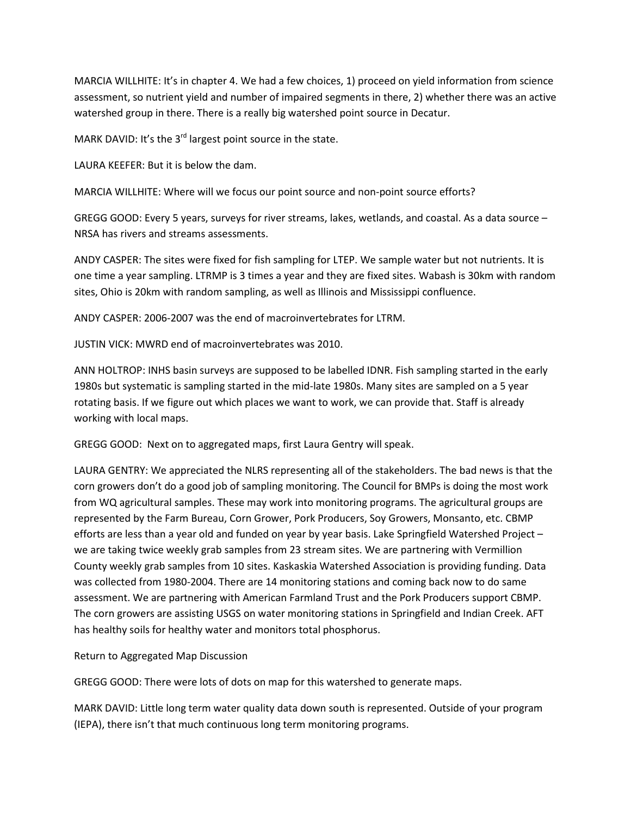MARCIA WILLHITE: It's in chapter 4. We had a few choices, 1) proceed on yield information from science assessment, so nutrient yield and number of impaired segments in there, 2) whether there was an active watershed group in there. There is a really big watershed point source in Decatur.

MARK DAVID: It's the 3<sup>rd</sup> largest point source in the state.

LAURA KEEFER: But it is below the dam.

MARCIA WILLHITE: Where will we focus our point source and non-point source efforts?

GREGG GOOD: Every 5 years, surveys for river streams, lakes, wetlands, and coastal. As a data source – NRSA has rivers and streams assessments.

ANDY CASPER: The sites were fixed for fish sampling for LTEP. We sample water but not nutrients. It is one time a year sampling. LTRMP is 3 times a year and they are fixed sites. Wabash is 30km with random sites, Ohio is 20km with random sampling, as well as Illinois and Mississippi confluence.

ANDY CASPER: 2006-2007 was the end of macroinvertebrates for LTRM.

JUSTIN VICK: MWRD end of macroinvertebrates was 2010.

ANN HOLTROP: INHS basin surveys are supposed to be labelled IDNR. Fish sampling started in the early 1980s but systematic is sampling started in the mid-late 1980s. Many sites are sampled on a 5 year rotating basis. If we figure out which places we want to work, we can provide that. Staff is already working with local maps.

GREGG GOOD: Next on to aggregated maps, first Laura Gentry will speak.

LAURA GENTRY: We appreciated the NLRS representing all of the stakeholders. The bad news is that the corn growers don't do a good job of sampling monitoring. The Council for BMPs is doing the most work from WQ agricultural samples. These may work into monitoring programs. The agricultural groups are represented by the Farm Bureau, Corn Grower, Pork Producers, Soy Growers, Monsanto, etc. CBMP efforts are less than a year old and funded on year by year basis. Lake Springfield Watershed Project – we are taking twice weekly grab samples from 23 stream sites. We are partnering with Vermillion County weekly grab samples from 10 sites. Kaskaskia Watershed Association is providing funding. Data was collected from 1980-2004. There are 14 monitoring stations and coming back now to do same assessment. We are partnering with American Farmland Trust and the Pork Producers support CBMP. The corn growers are assisting USGS on water monitoring stations in Springfield and Indian Creek. AFT has healthy soils for healthy water and monitors total phosphorus.

Return to Aggregated Map Discussion

GREGG GOOD: There were lots of dots on map for this watershed to generate maps.

MARK DAVID: Little long term water quality data down south is represented. Outside of your program (IEPA), there isn't that much continuous long term monitoring programs.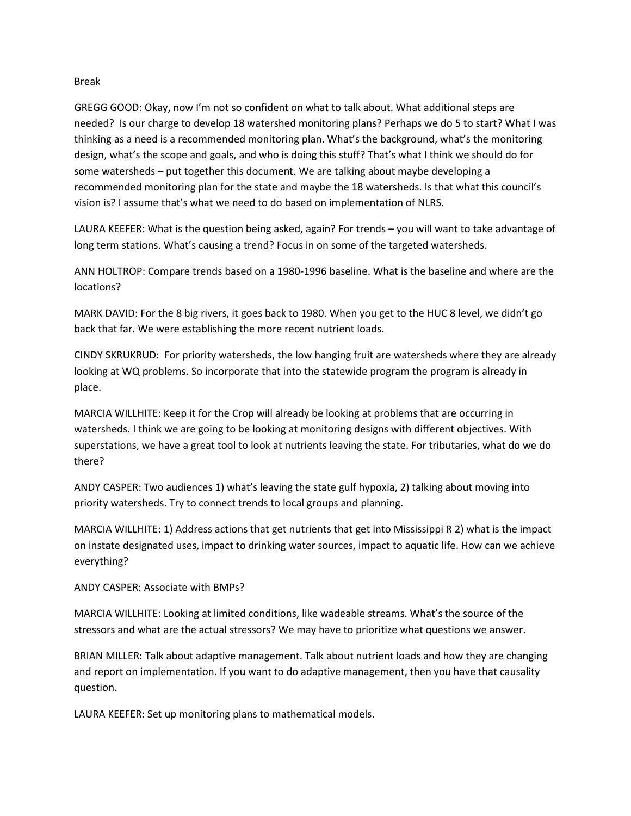#### Break

GREGG GOOD: Okay, now I'm not so confident on what to talk about. What additional steps are needed? Is our charge to develop 18 watershed monitoring plans? Perhaps we do 5 to start? What I was thinking as a need is a recommended monitoring plan. What's the background, what's the monitoring design, what's the scope and goals, and who is doing this stuff? That's what I think we should do for some watersheds – put together this document. We are talking about maybe developing a recommended monitoring plan for the state and maybe the 18 watersheds. Is that what this council's vision is? I assume that's what we need to do based on implementation of NLRS.

LAURA KEEFER: What is the question being asked, again? For trends – you will want to take advantage of long term stations. What's causing a trend? Focus in on some of the targeted watersheds.

ANN HOLTROP: Compare trends based on a 1980-1996 baseline. What is the baseline and where are the locations?

MARK DAVID: For the 8 big rivers, it goes back to 1980. When you get to the HUC 8 level, we didn't go back that far. We were establishing the more recent nutrient loads.

CINDY SKRUKRUD: For priority watersheds, the low hanging fruit are watersheds where they are already looking at WQ problems. So incorporate that into the statewide program the program is already in place.

MARCIA WILLHITE: Keep it for the Crop will already be looking at problems that are occurring in watersheds. I think we are going to be looking at monitoring designs with different objectives. With superstations, we have a great tool to look at nutrients leaving the state. For tributaries, what do we do there?

ANDY CASPER: Two audiences 1) what's leaving the state gulf hypoxia, 2) talking about moving into priority watersheds. Try to connect trends to local groups and planning.

MARCIA WILLHITE: 1) Address actions that get nutrients that get into Mississippi R 2) what is the impact on instate designated uses, impact to drinking water sources, impact to aquatic life. How can we achieve everything?

ANDY CASPER: Associate with BMPs?

MARCIA WILLHITE: Looking at limited conditions, like wadeable streams. What's the source of the stressors and what are the actual stressors? We may have to prioritize what questions we answer.

BRIAN MILLER: Talk about adaptive management. Talk about nutrient loads and how they are changing and report on implementation. If you want to do adaptive management, then you have that causality question.

LAURA KEEFER: Set up monitoring plans to mathematical models.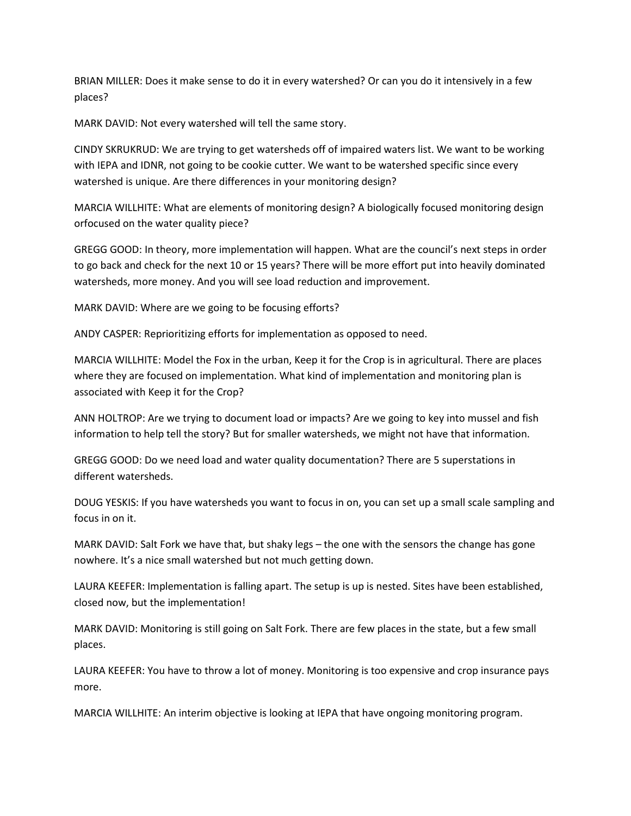BRIAN MILLER: Does it make sense to do it in every watershed? Or can you do it intensively in a few places?

MARK DAVID: Not every watershed will tell the same story.

CINDY SKRUKRUD: We are trying to get watersheds off of impaired waters list. We want to be working with IEPA and IDNR, not going to be cookie cutter. We want to be watershed specific since every watershed is unique. Are there differences in your monitoring design?

MARCIA WILLHITE: What are elements of monitoring design? A biologically focused monitoring design orfocused on the water quality piece?

GREGG GOOD: In theory, more implementation will happen. What are the council's next steps in order to go back and check for the next 10 or 15 years? There will be more effort put into heavily dominated watersheds, more money. And you will see load reduction and improvement.

MARK DAVID: Where are we going to be focusing efforts?

ANDY CASPER: Reprioritizing efforts for implementation as opposed to need.

MARCIA WILLHITE: Model the Fox in the urban, Keep it for the Crop is in agricultural. There are places where they are focused on implementation. What kind of implementation and monitoring plan is associated with Keep it for the Crop?

ANN HOLTROP: Are we trying to document load or impacts? Are we going to key into mussel and fish information to help tell the story? But for smaller watersheds, we might not have that information.

GREGG GOOD: Do we need load and water quality documentation? There are 5 superstations in different watersheds.

DOUG YESKIS: If you have watersheds you want to focus in on, you can set up a small scale sampling and focus in on it.

MARK DAVID: Salt Fork we have that, but shaky legs – the one with the sensors the change has gone nowhere. It's a nice small watershed but not much getting down.

LAURA KEEFER: Implementation is falling apart. The setup is up is nested. Sites have been established, closed now, but the implementation!

MARK DAVID: Monitoring is still going on Salt Fork. There are few places in the state, but a few small places.

LAURA KEEFER: You have to throw a lot of money. Monitoring is too expensive and crop insurance pays more.

MARCIA WILLHITE: An interim objective is looking at IEPA that have ongoing monitoring program.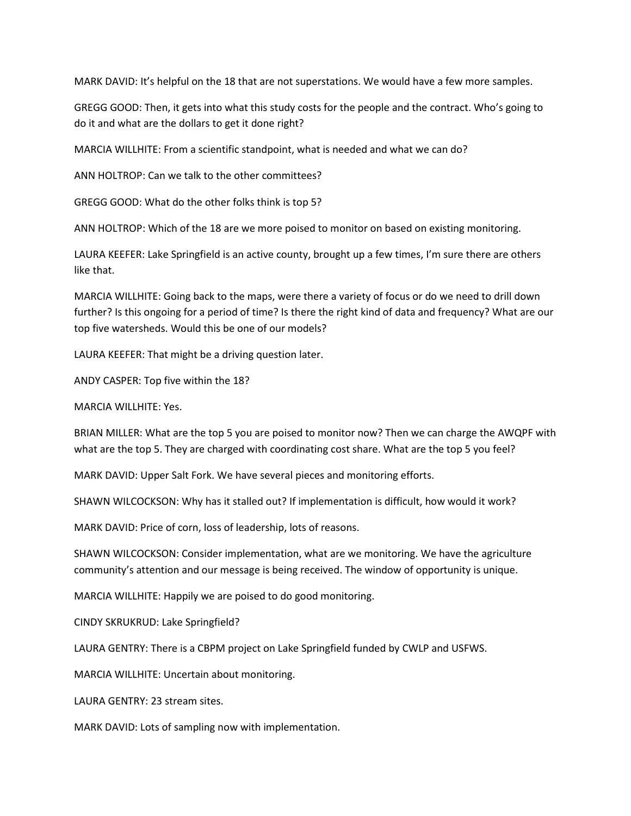MARK DAVID: It's helpful on the 18 that are not superstations. We would have a few more samples.

GREGG GOOD: Then, it gets into what this study costs for the people and the contract. Who's going to do it and what are the dollars to get it done right?

MARCIA WILLHITE: From a scientific standpoint, what is needed and what we can do?

ANN HOLTROP: Can we talk to the other committees?

GREGG GOOD: What do the other folks think is top 5?

ANN HOLTROP: Which of the 18 are we more poised to monitor on based on existing monitoring.

LAURA KEEFER: Lake Springfield is an active county, brought up a few times, I'm sure there are others like that.

MARCIA WILLHITE: Going back to the maps, were there a variety of focus or do we need to drill down further? Is this ongoing for a period of time? Is there the right kind of data and frequency? What are our top five watersheds. Would this be one of our models?

LAURA KEEFER: That might be a driving question later.

ANDY CASPER: Top five within the 18?

MARCIA WILLHITE: Yes.

BRIAN MILLER: What are the top 5 you are poised to monitor now? Then we can charge the AWQPF with what are the top 5. They are charged with coordinating cost share. What are the top 5 you feel?

MARK DAVID: Upper Salt Fork. We have several pieces and monitoring efforts.

SHAWN WILCOCKSON: Why has it stalled out? If implementation is difficult, how would it work?

MARK DAVID: Price of corn, loss of leadership, lots of reasons.

SHAWN WILCOCKSON: Consider implementation, what are we monitoring. We have the agriculture community's attention and our message is being received. The window of opportunity is unique.

MARCIA WILLHITE: Happily we are poised to do good monitoring.

CINDY SKRUKRUD: Lake Springfield?

LAURA GENTRY: There is a CBPM project on Lake Springfield funded by CWLP and USFWS.

MARCIA WILLHITE: Uncertain about monitoring.

LAURA GENTRY: 23 stream sites.

MARK DAVID: Lots of sampling now with implementation.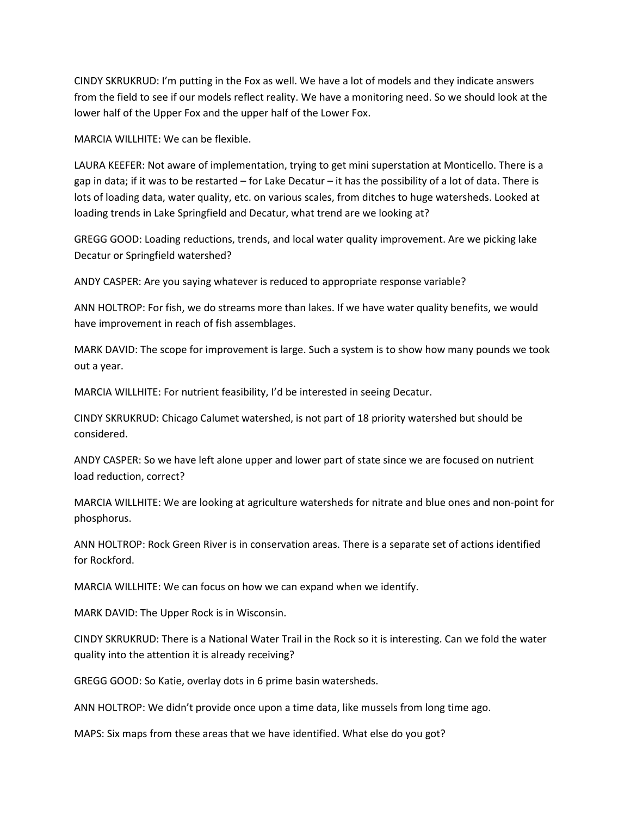CINDY SKRUKRUD: I'm putting in the Fox as well. We have a lot of models and they indicate answers from the field to see if our models reflect reality. We have a monitoring need. So we should look at the lower half of the Upper Fox and the upper half of the Lower Fox.

MARCIA WILLHITE: We can be flexible.

LAURA KEEFER: Not aware of implementation, trying to get mini superstation at Monticello. There is a gap in data; if it was to be restarted – for Lake Decatur – it has the possibility of a lot of data. There is lots of loading data, water quality, etc. on various scales, from ditches to huge watersheds. Looked at loading trends in Lake Springfield and Decatur, what trend are we looking at?

GREGG GOOD: Loading reductions, trends, and local water quality improvement. Are we picking lake Decatur or Springfield watershed?

ANDY CASPER: Are you saying whatever is reduced to appropriate response variable?

ANN HOLTROP: For fish, we do streams more than lakes. If we have water quality benefits, we would have improvement in reach of fish assemblages.

MARK DAVID: The scope for improvement is large. Such a system is to show how many pounds we took out a year.

MARCIA WILLHITE: For nutrient feasibility, I'd be interested in seeing Decatur.

CINDY SKRUKRUD: Chicago Calumet watershed, is not part of 18 priority watershed but should be considered.

ANDY CASPER: So we have left alone upper and lower part of state since we are focused on nutrient load reduction, correct?

MARCIA WILLHITE: We are looking at agriculture watersheds for nitrate and blue ones and non-point for phosphorus.

ANN HOLTROP: Rock Green River is in conservation areas. There is a separate set of actions identified for Rockford.

MARCIA WILLHITE: We can focus on how we can expand when we identify.

MARK DAVID: The Upper Rock is in Wisconsin.

CINDY SKRUKRUD: There is a National Water Trail in the Rock so it is interesting. Can we fold the water quality into the attention it is already receiving?

GREGG GOOD: So Katie, overlay dots in 6 prime basin watersheds.

ANN HOLTROP: We didn't provide once upon a time data, like mussels from long time ago.

MAPS: Six maps from these areas that we have identified. What else do you got?